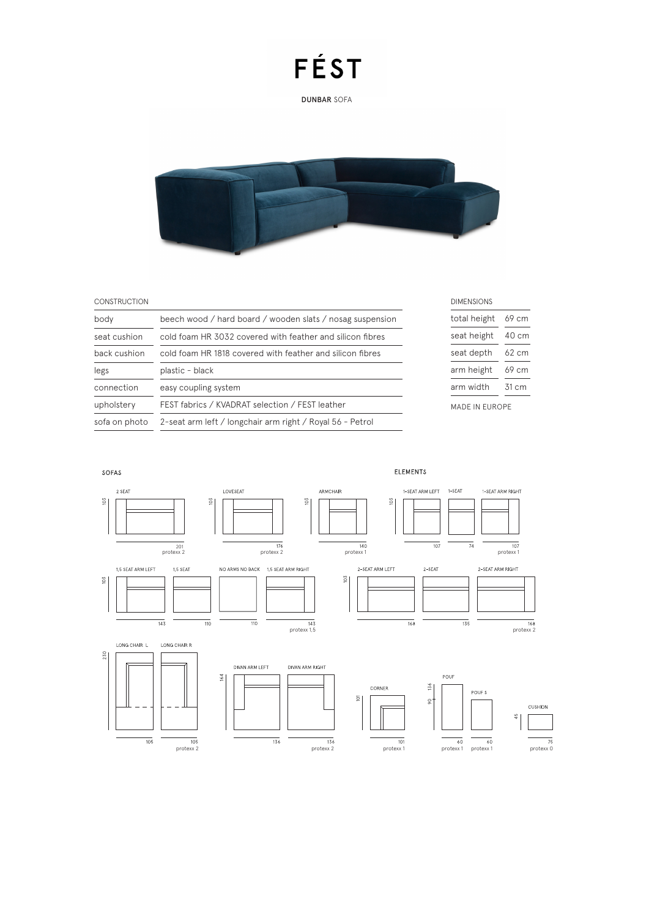DUNBAR SOFA



#### **CONSTRUCTION**

| body          | beech wood / hard board / wooden slats / nosag suspension |  |  |  |  |  |
|---------------|-----------------------------------------------------------|--|--|--|--|--|
| seat cushion  | cold foam HR 3032 covered with feather and silicon fibres |  |  |  |  |  |
| back cushion  | cold foam HR 1818 covered with feather and silicon fibres |  |  |  |  |  |
| legs          | plastic - black                                           |  |  |  |  |  |
| connection    | easy coupling system                                      |  |  |  |  |  |
| upholstery    | FEST fabrics / KVADRAT selection / FEST leather           |  |  |  |  |  |
| sofa on photo | 2-seat arm left / longchair arm right / Royal 56 - Petrol |  |  |  |  |  |
|               |                                                           |  |  |  |  |  |

| <b>DIMENSIONS</b> |        |  |  |  |  |
|-------------------|--------|--|--|--|--|
| total height      | 69 cm  |  |  |  |  |
| seat height       | 40 cm  |  |  |  |  |
| seat depth        | 62 cm  |  |  |  |  |
| arm height        | 69 cm  |  |  |  |  |
| arm width         | 31 c.m |  |  |  |  |
| MADE IN FUROPE    |        |  |  |  |  |



ELEMENTS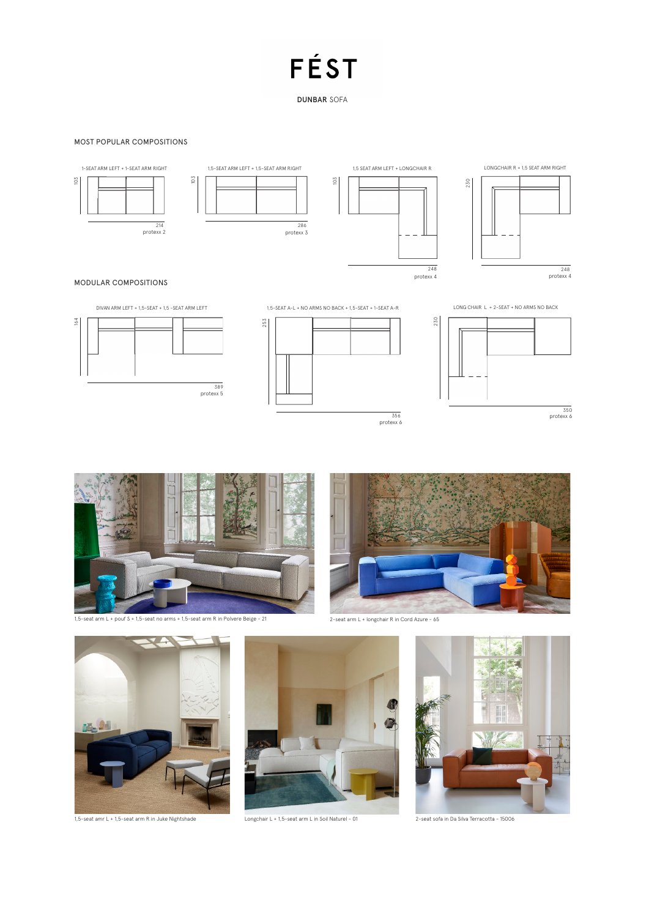DUNBAR SOFA

#### MOST POPULAR COMPOSITIONS





1,5-SEAT A-L + NO ARMS NO BACK + 1,5-SEAT + 1-SEAT A-R



230





protexx 6 350



1,5-seat arm L + pouf S + 1,5-seat no arms + 1,5-seat arm R in Polvere Beige - 21







1,5-seat amr L + 1,5-seat arm R in Juke Nightshade



Longchair L + 1,5-seat arm L in Soil Naturel - 01



2-seat sofa in Da Silva Terracotta - 15006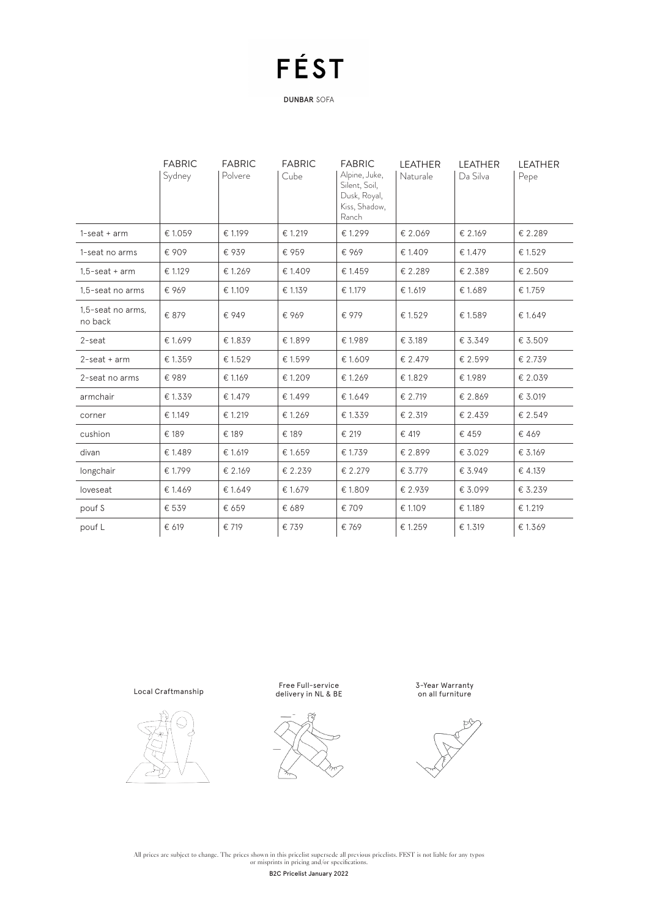DUNBAR SOFA

|                              | <b>FABRIC</b><br>Sydney | <b>FABRIC</b><br>Polvere | <b>FABRIC</b><br>Cube | <b>FABRIC</b><br>Alpine, Juke,<br>Silent, Soil,<br>Dusk, Royal,<br>Kiss, Shadow,<br>Ranch | <b>LEATHER</b><br>Naturale | <b>LEATHER</b><br>Da Silva | <b>LEATHER</b><br>Pepe |
|------------------------------|-------------------------|--------------------------|-----------------------|-------------------------------------------------------------------------------------------|----------------------------|----------------------------|------------------------|
| $1$ -seat + arm              | € 1.059                 | € 1.199                  | € 1.219               | € 1.299                                                                                   | € 2.069                    | € 2.169                    | € 2.289                |
| 1-seat no arms               | € 909                   | € 939                    | € 959                 | €969                                                                                      | € 1.409                    | € 1.479                    | € 1.529                |
| $1.5$ -seat + arm            | € 1.129                 | €1.269                   | € 1.409               | € 1.459                                                                                   | € 2.289                    | € 2.389                    | € 2.509                |
| 1.5-seat no arms             | € 969                   | € 1.109                  | € 1.139               | € 1.179                                                                                   | € 1.619                    | € 1.689                    | € 1.759                |
| 1,5-seat no arms,<br>no back | € 879                   | € 949                    | € 969                 | € 979                                                                                     | € 1.529                    | € 1.589                    | € 1.649                |
| 2-seat                       | € 1.699                 | € 1.839                  | €1.899                | €1.989                                                                                    | € 3.189                    | € 3.349                    | € 3.509                |
| $2$ -seat + arm              | € 1.359                 | €1.529                   | € 1.599               | € 1.609                                                                                   | € 2.479                    | € 2.599                    | € 2.739                |
| 2-seat no arms               | €989                    | € 1.169                  | € 1.209               | €1.269                                                                                    | € 1.829                    | €1.989                     | € 2.039                |
| armchair                     | €1.339                  | € 1.479                  | € 1.499               | €1.649                                                                                    | € 2.719                    | € 2.869                    | € 3.019                |
| corner                       | € 1.149                 | € 1.219                  | € 1.269               | € 1.339                                                                                   | € 2.319                    | € 2.439                    | € 2.549                |
| cushion                      | € 189                   | € 189                    | € 189                 | € 219                                                                                     | € 419                      | € 459                      | €469                   |
| divan                        | € 1.489                 | € 1.619                  | € 1.659               | € 1.739                                                                                   | € 2.899                    | € 3.029                    | € 3.169                |
| longchair                    | € 1.799                 | € 2.169                  | € 2.239               | € 2.279                                                                                   | € 3.779                    | € 3.949                    | € 4.139                |
| loveseat                     | € 1.469                 | € 1.649                  | € 1.679               | € 1.809                                                                                   | € 2.939                    | € 3.099                    | € 3.239                |
| pouf S                       | € 539                   | € 659                    | € 689                 | € 709                                                                                     | € 1.109                    | € 1.189                    | € 1.219                |
| pouf L                       | € 619                   | € 719                    | € 739                 | € 769                                                                                     | € 1.259                    | € 1.319                    | €1.369                 |

Local Craftmanship







3-Year Warranty on all furniture

All prices are subject to change. The prices shown in this pricelist supersede all previous pricelists. FEST is not liable for any typos<br>or misprints in pricing and/or specifications. B2C Pricelist January 2022